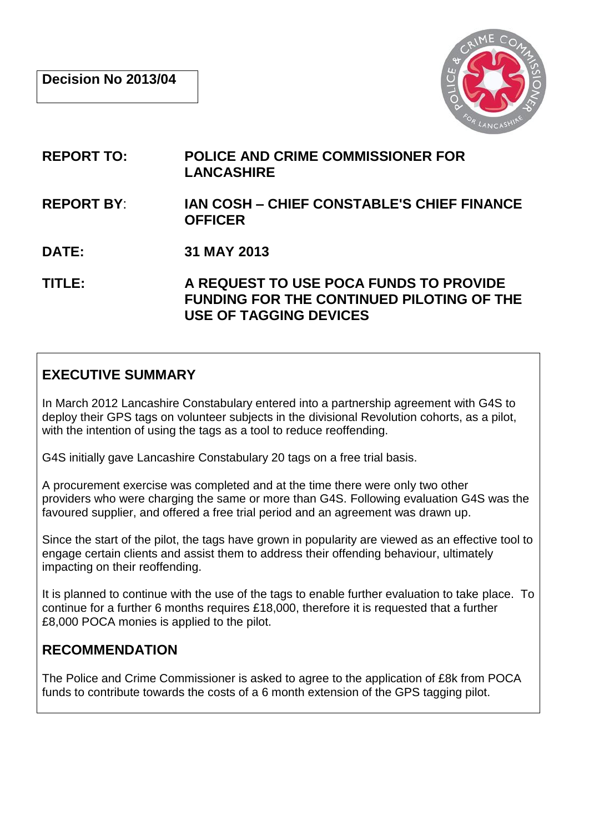

- **REPORT TO: POLICE AND CRIME COMMISSIONER FOR LANCASHIRE**
- **REPORT BY**: **IAN COSH – CHIEF CONSTABLE'S CHIEF FINANCE OFFICER**
- **DATE: 31 MAY 2013**

**TITLE: A REQUEST TO USE POCA FUNDS TO PROVIDE FUNDING FOR THE CONTINUED PILOTING OF THE USE OF TAGGING DEVICES**

## **EXECUTIVE SUMMARY**

In March 2012 Lancashire Constabulary entered into a partnership agreement with G4S to deploy their GPS tags on volunteer subjects in the divisional Revolution cohorts, as a pilot, with the intention of using the tags as a tool to reduce reoffending.

G4S initially gave Lancashire Constabulary 20 tags on a free trial basis.

A procurement exercise was completed and at the time there were only two other providers who were charging the same or more than G4S. Following evaluation G4S was the favoured supplier, and offered a free trial period and an agreement was drawn up.

Since the start of the pilot, the tags have grown in popularity are viewed as an effective tool to engage certain clients and assist them to address their offending behaviour, ultimately impacting on their reoffending.

It is planned to continue with the use of the tags to enable further evaluation to take place. To continue for a further 6 months requires £18,000, therefore it is requested that a further £8,000 POCA monies is applied to the pilot.

### **RECOMMENDATION**

The Police and Crime Commissioner is asked to agree to the application of £8k from POCA funds to contribute towards the costs of a 6 month extension of the GPS tagging pilot.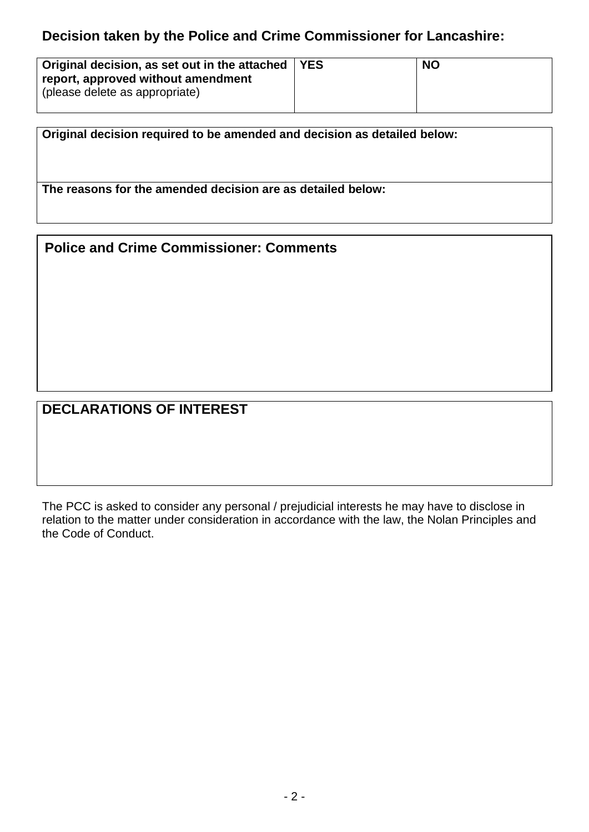### **Decision taken by the Police and Crime Commissioner for Lancashire:**

| Original decision, as set out in the attached   YES | <b>NO</b> |
|-----------------------------------------------------|-----------|
| report, approved without amendment                  |           |
| (please delete as appropriate)                      |           |
|                                                     |           |

**Original decision required to be amended and decision as detailed below: The reasons for the amended decision are as detailed below:**

#### **Police and Crime Commissioner: Comments**

# **DECLARATIONS OF INTEREST**

The PCC is asked to consider any personal / prejudicial interests he may have to disclose in relation to the matter under consideration in accordance with the law, the Nolan Principles and the Code of Conduct.